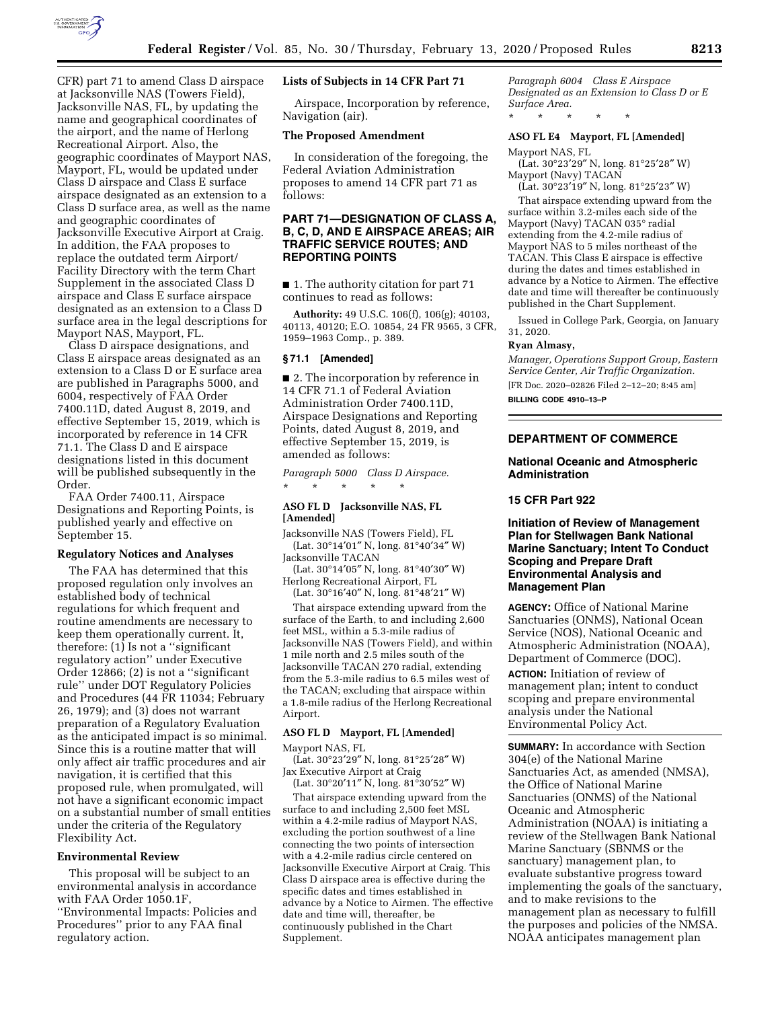

CFR) part 71 to amend Class D airspace at Jacksonville NAS (Towers Field), Jacksonville NAS, FL, by updating the name and geographical coordinates of the airport, and the name of Herlong Recreational Airport. Also, the geographic coordinates of Mayport NAS, Mayport, FL, would be updated under Class D airspace and Class E surface airspace designated as an extension to a Class D surface area, as well as the name and geographic coordinates of Jacksonville Executive Airport at Craig. In addition, the FAA proposes to replace the outdated term Airport/ Facility Directory with the term Chart Supplement in the associated Class D airspace and Class E surface airspace designated as an extension to a Class D surface area in the legal descriptions for Mayport NAS, Mayport, FL.

Class D airspace designations, and Class E airspace areas designated as an extension to a Class D or E surface area are published in Paragraphs 5000, and 6004, respectively of FAA Order 7400.11D, dated August 8, 2019, and effective September 15, 2019, which is incorporated by reference in 14 CFR 71.1. The Class D and E airspace designations listed in this document will be published subsequently in the Order.

FAA Order 7400.11, Airspace Designations and Reporting Points, is published yearly and effective on September 15.

## **Regulatory Notices and Analyses**

The FAA has determined that this proposed regulation only involves an established body of technical regulations for which frequent and routine amendments are necessary to keep them operationally current. It, therefore: (1) Is not a ''significant regulatory action'' under Executive Order 12866; (2) is not a ''significant rule'' under DOT Regulatory Policies and Procedures (44 FR 11034; February 26, 1979); and (3) does not warrant preparation of a Regulatory Evaluation as the anticipated impact is so minimal. Since this is a routine matter that will only affect air traffic procedures and air navigation, it is certified that this proposed rule, when promulgated, will not have a significant economic impact on a substantial number of small entities under the criteria of the Regulatory Flexibility Act.

### **Environmental Review**

This proposal will be subject to an environmental analysis in accordance with FAA Order 1050.1F, ''Environmental Impacts: Policies and Procedures'' prior to any FAA final regulatory action.

### **Lists of Subjects in 14 CFR Part 71**

Airspace, Incorporation by reference, Navigation (air).

### **The Proposed Amendment**

In consideration of the foregoing, the Federal Aviation Administration proposes to amend 14 CFR part 71 as follows:

# **PART 71—DESIGNATION OF CLASS A, B, C, D, AND E AIRSPACE AREAS; AIR TRAFFIC SERVICE ROUTES; AND REPORTING POINTS**

■ 1. The authority citation for part 71 continues to read as follows:

**Authority:** 49 U.S.C. 106(f), 106(g); 40103, 40113, 40120; E.O. 10854, 24 FR 9565, 3 CFR, 1959–1963 Comp., p. 389.

### **§ 71.1 [Amended]**

■ 2. The incorporation by reference in 14 CFR 71.1 of Federal Aviation Administration Order 7400.11D, Airspace Designations and Reporting Points, dated August 8, 2019, and effective September 15, 2019, is amended as follows:

*Paragraph 5000 Class D Airspace.*  \* \* \* \* \*

#### **ASO FL D Jacksonville NAS, FL [Amended]**

Jacksonville NAS (Towers Field), FL (Lat. 30°14′01″ N, long. 81°40′34″ W) Jacksonville TACAN

(Lat. 30°14′05″ N, long. 81°40′30″ W) Herlong Recreational Airport, FL

(Lat. 30°16′40″ N, long. 81°48′21″ W)

That airspace extending upward from the surface of the Earth, to and including 2,600 feet MSL, within a 5.3-mile radius of Jacksonville NAS (Towers Field), and within 1 mile north and 2.5 miles south of the Jacksonville TACAN 270 radial, extending from the 5.3-mile radius to 6.5 miles west of the TACAN; excluding that airspace within a 1.8-mile radius of the Herlong Recreational Airport.

### **ASO FL D Mayport, FL [Amended]**

Mayport NAS, FL

(Lat. 30°23′29″ N, long. 81°25′28″ W) Jax Executive Airport at Craig

(Lat.  $30^{\circ}20'11''$  N, long.  $81^{\circ}30'52''$  W) That airspace extending upward from the surface to and including 2,500 feet MSL within a 4.2-mile radius of Mayport NAS, excluding the portion southwest of a line connecting the two points of intersection with a 4.2-mile radius circle centered on Jacksonville Executive Airport at Craig. This Class D airspace area is effective during the specific dates and times established in advance by a Notice to Airmen. The effective date and time will, thereafter, be continuously published in the Chart Supplement.

*Paragraph 6004 Class E Airspace Designated as an Extension to Class D or E Surface Area.* 

### **ASO FL E4 Mayport, FL [Amended]**

Mayport NAS, FL

\* \* \* \* \*

(Lat. 30°23′29″ N, long. 81°25′28″ W) Mayport (Navy) TACAN

(Lat. 30°23′19″ N, long. 81°25′23″ W) That airspace extending upward from the surface within 3.2-miles each side of the Mayport (Navy) TACAN 035° radial extending from the 4.2-mile radius of Mayport NAS to 5 miles northeast of the TACAN. This Class E airspace is effective during the dates and times established in advance by a Notice to Airmen. The effective date and time will thereafter be continuously published in the Chart Supplement.

Issued in College Park, Georgia, on January 31, 2020.

#### **Ryan Almasy,**

*Manager, Operations Support Group, Eastern Service Center, Air Traffic Organization.* 

[FR Doc. 2020–02826 Filed 2–12–20; 8:45 am] **BILLING CODE 4910–13–P** 

### **DEPARTMENT OF COMMERCE**

## **National Oceanic and Atmospheric Administration**

## **15 CFR Part 922**

**Initiation of Review of Management Plan for Stellwagen Bank National Marine Sanctuary; Intent To Conduct Scoping and Prepare Draft Environmental Analysis and Management Plan** 

**AGENCY:** Office of National Marine Sanctuaries (ONMS), National Ocean Service (NOS), National Oceanic and Atmospheric Administration (NOAA), Department of Commerce (DOC).

**ACTION:** Initiation of review of management plan; intent to conduct scoping and prepare environmental analysis under the National Environmental Policy Act.

**SUMMARY:** In accordance with Section 304(e) of the National Marine Sanctuaries Act, as amended (NMSA), the Office of National Marine Sanctuaries (ONMS) of the National Oceanic and Atmospheric Administration (NOAA) is initiating a review of the Stellwagen Bank National Marine Sanctuary (SBNMS or the sanctuary) management plan, to evaluate substantive progress toward implementing the goals of the sanctuary, and to make revisions to the management plan as necessary to fulfill the purposes and policies of the NMSA. NOAA anticipates management plan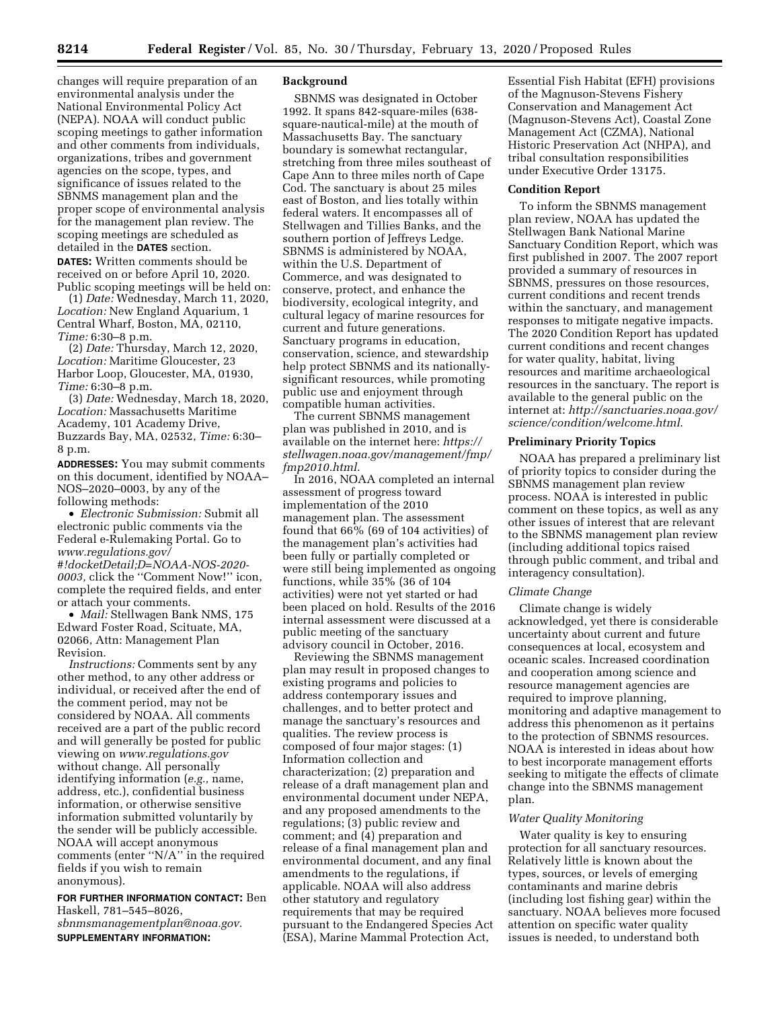changes will require preparation of an environmental analysis under the National Environmental Policy Act (NEPA). NOAA will conduct public scoping meetings to gather information and other comments from individuals, organizations, tribes and government agencies on the scope, types, and significance of issues related to the SBNMS management plan and the proper scope of environmental analysis for the management plan review. The scoping meetings are scheduled as detailed in the **DATES** section.

**DATES:** Written comments should be received on or before April 10, 2020. Public scoping meetings will be held on:

(1) *Date:* Wednesday, March 11, 2020, *Location:* New England Aquarium, 1 Central Wharf, Boston, MA, 02110, *Time:* 6:30–8 p.m.

(2) *Date:* Thursday, March 12, 2020, *Location:* Maritime Gloucester, 23 Harbor Loop, Gloucester, MA, 01930, *Time:* 6:30–8 p.m.

(3) *Date:* Wednesday, March 18, 2020, *Location:* Massachusetts Maritime Academy, 101 Academy Drive, Buzzards Bay, MA, 02532, *Time:* 6:30– 8 p.m.

**ADDRESSES:** You may submit comments on this document, identified by NOAA– NOS–2020–0003, by any of the following methods:

• *Electronic Submission:* Submit all electronic public comments via the Federal e-Rulemaking Portal. Go to *[www.regulations.gov/](http://www.regulations.gov/#!docketDetail;D=NOAA-NOS-2020-0003) [#!docketDetail;D=NOAA-NOS-2020-](http://www.regulations.gov/#!docketDetail;D=NOAA-NOS-2020-0003)  [0003,](http://www.regulations.gov/#!docketDetail;D=NOAA-NOS-2020-0003)* click the ''Comment Now!'' icon, complete the required fields, and enter or attach your comments.

• *Mail:* Stellwagen Bank NMS, 175 Edward Foster Road, Scituate, MA, 02066, Attn: Management Plan Revision.

*Instructions:* Comments sent by any other method, to any other address or individual, or received after the end of the comment period, may not be considered by NOAA. All comments received are a part of the public record and will generally be posted for public viewing on *[www.regulations.gov](http://www.regulations.gov)*  without change. All personally identifying information (*e.g.,* name, address, etc.), confidential business information, or otherwise sensitive information submitted voluntarily by the sender will be publicly accessible. NOAA will accept anonymous comments (enter ''N/A'' in the required fields if you wish to remain anonymous).

**FOR FURTHER INFORMATION CONTACT:** Ben Haskell, 781–545–8026, *[sbnmsmanagementplan@noaa.gov.](mailto:sbnmsmanagementplan@noaa.gov)*  **SUPPLEMENTARY INFORMATION:** 

# **Background**

SBNMS was designated in October 1992. It spans 842-square-miles (638 square-nautical-mile) at the mouth of Massachusetts Bay. The sanctuary boundary is somewhat rectangular, stretching from three miles southeast of Cape Ann to three miles north of Cape Cod. The sanctuary is about 25 miles east of Boston, and lies totally within federal waters. It encompasses all of Stellwagen and Tillies Banks, and the southern portion of Jeffreys Ledge. SBNMS is administered by NOAA, within the U.S. Department of Commerce, and was designated to conserve, protect, and enhance the biodiversity, ecological integrity, and cultural legacy of marine resources for current and future generations. Sanctuary programs in education, conservation, science, and stewardship help protect SBNMS and its nationallysignificant resources, while promoting public use and enjoyment through compatible human activities.

The current SBNMS management plan was published in 2010, and is available on the internet here: *[https://](https://stellwagen.noaa.gov/management/fmp/fmp2010.html) [stellwagen.noaa.gov/management/fmp/](https://stellwagen.noaa.gov/management/fmp/fmp2010.html)  [fmp2010.html.](https://stellwagen.noaa.gov/management/fmp/fmp2010.html)* 

In 2016, NOAA completed an internal assessment of progress toward implementation of the 2010 management plan. The assessment found that 66% (69 of 104 activities) of the management plan's activities had been fully or partially completed or were still being implemented as ongoing functions, while 35% (36 of 104 activities) were not yet started or had been placed on hold. Results of the 2016 internal assessment were discussed at a public meeting of the sanctuary advisory council in October, 2016.

Reviewing the SBNMS management plan may result in proposed changes to existing programs and policies to address contemporary issues and challenges, and to better protect and manage the sanctuary's resources and qualities. The review process is composed of four major stages: (1) Information collection and characterization; (2) preparation and release of a draft management plan and environmental document under NEPA, and any proposed amendments to the regulations; (3) public review and comment; and (4) preparation and release of a final management plan and environmental document, and any final amendments to the regulations, if applicable. NOAA will also address other statutory and regulatory requirements that may be required pursuant to the Endangered Species Act (ESA), Marine Mammal Protection Act,

Essential Fish Habitat (EFH) provisions of the Magnuson-Stevens Fishery Conservation and Management Act (Magnuson-Stevens Act), Coastal Zone Management Act (CZMA), National Historic Preservation Act (NHPA), and tribal consultation responsibilities under Executive Order 13175.

#### **Condition Report**

To inform the SBNMS management plan review, NOAA has updated the Stellwagen Bank National Marine Sanctuary Condition Report, which was first published in 2007. The 2007 report provided a summary of resources in SBNMS, pressures on those resources, current conditions and recent trends within the sanctuary, and management responses to mitigate negative impacts. The 2020 Condition Report has updated current conditions and recent changes for water quality, habitat, living resources and maritime archaeological resources in the sanctuary. The report is available to the general public on the internet at: *[http://sanctuaries.noaa.gov/](http://sanctuaries.noaa.gov/science/condition/welcome.html) [science/condition/welcome.html](http://sanctuaries.noaa.gov/science/condition/welcome.html)*.

# **Preliminary Priority Topics**

NOAA has prepared a preliminary list of priority topics to consider during the SBNMS management plan review process. NOAA is interested in public comment on these topics, as well as any other issues of interest that are relevant to the SBNMS management plan review (including additional topics raised through public comment, and tribal and interagency consultation).

#### *Climate Change*

Climate change is widely acknowledged, yet there is considerable uncertainty about current and future consequences at local, ecosystem and oceanic scales. Increased coordination and cooperation among science and resource management agencies are required to improve planning, monitoring and adaptive management to address this phenomenon as it pertains to the protection of SBNMS resources. NOAA is interested in ideas about how to best incorporate management efforts seeking to mitigate the effects of climate change into the SBNMS management plan.

### *Water Quality Monitoring*

Water quality is key to ensuring protection for all sanctuary resources. Relatively little is known about the types, sources, or levels of emerging contaminants and marine debris (including lost fishing gear) within the sanctuary. NOAA believes more focused attention on specific water quality issues is needed, to understand both